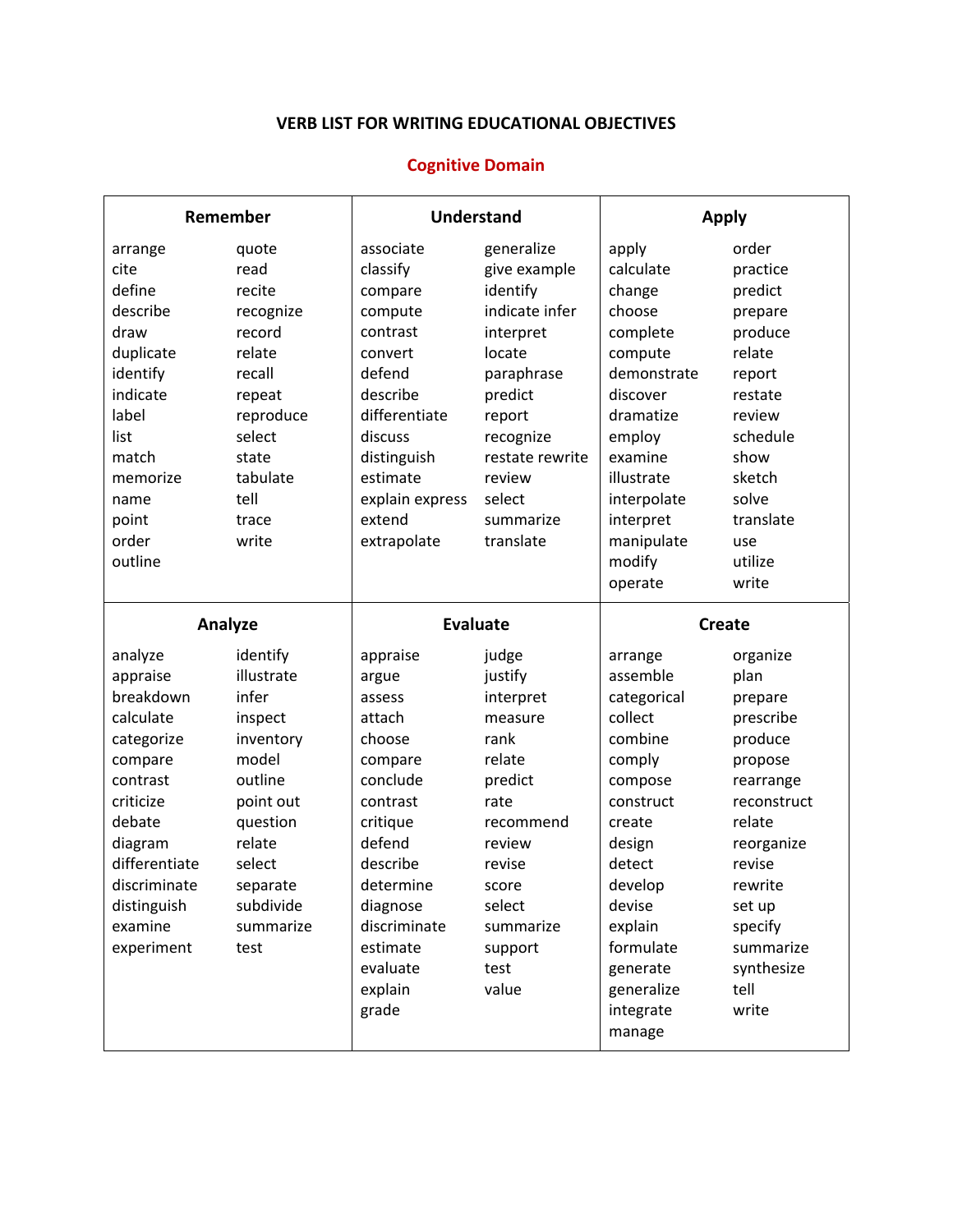## **VERB LIST FOR WRITING EDUCATIONAL OBJECTIVES**

### **Cognitive Domain**

| Remember      |            | <b>Understand</b> |                 | <b>Apply</b>        |             |
|---------------|------------|-------------------|-----------------|---------------------|-------------|
| arrange       | quote      | associate         | generalize      | apply               | order       |
| cite          | read       | classify          | give example    | calculate           | practice    |
| define        | recite     | compare           | identify        | change              | predict     |
| describe      | recognize  | compute           | indicate infer  | choose              | prepare     |
| draw          | record     | contrast          | interpret       | complete            | produce     |
| duplicate     | relate     | convert           | locate          | compute             | relate      |
| identify      | recall     | defend            | paraphrase      | demonstrate         | report      |
| indicate      | repeat     | describe          | predict         | discover            | restate     |
| label         | reproduce  | differentiate     | report          | dramatize           | review      |
| list          | select     | discuss           | recognize       | employ              | schedule    |
| match         | state      | distinguish       | restate rewrite | examine             | show        |
| memorize      | tabulate   | estimate          | review          | illustrate          | sketch      |
| name          | tell       | explain express   | select          | interpolate         | solve       |
| point         | trace      | extend            | summarize       | interpret           | translate   |
| order         | write      | extrapolate       | translate       | manipulate          | use         |
| outline       |            |                   |                 | modify              | utilize     |
|               |            |                   |                 | operate             | write       |
| Analyze       |            | <b>Evaluate</b>   |                 | <b>Create</b>       |             |
|               |            |                   |                 |                     |             |
| analyze       | identify   | appraise          | judge           | arrange             | organize    |
| appraise      | illustrate | argue             | justify         | assemble            | plan        |
| breakdown     | infer      | assess            | interpret       | categorical         | prepare     |
| calculate     | inspect    | attach            | measure         | collect             | prescribe   |
| categorize    | inventory  | choose            | rank            | combine             | produce     |
| compare       | model      | compare           | relate          | comply              | propose     |
| contrast      | outline    | conclude          | predict         | compose             | rearrange   |
| criticize     | point out  | contrast          | rate            | construct           | reconstruct |
| debate        | question   | critique          | recommend       | create              | relate      |
| diagram       | relate     | defend            | review          | design              | reorganize  |
| differentiate | select     | describe          | revise          | detect              | revise      |
| discriminate  | separate   | determine         | score           | develop             | rewrite     |
| distinguish   | subdivide  | diagnose          | select          | devise              | set up      |
| examine       | summarize  | discriminate      | summarize       | explain             | specify     |
| experiment    | test       | estimate          | support         | formulate           | summarize   |
|               |            | evaluate          | test            | generate            | synthesize  |
|               |            | explain           | value           | generalize          | tell        |
|               |            | grade             |                 | integrate<br>manage | write       |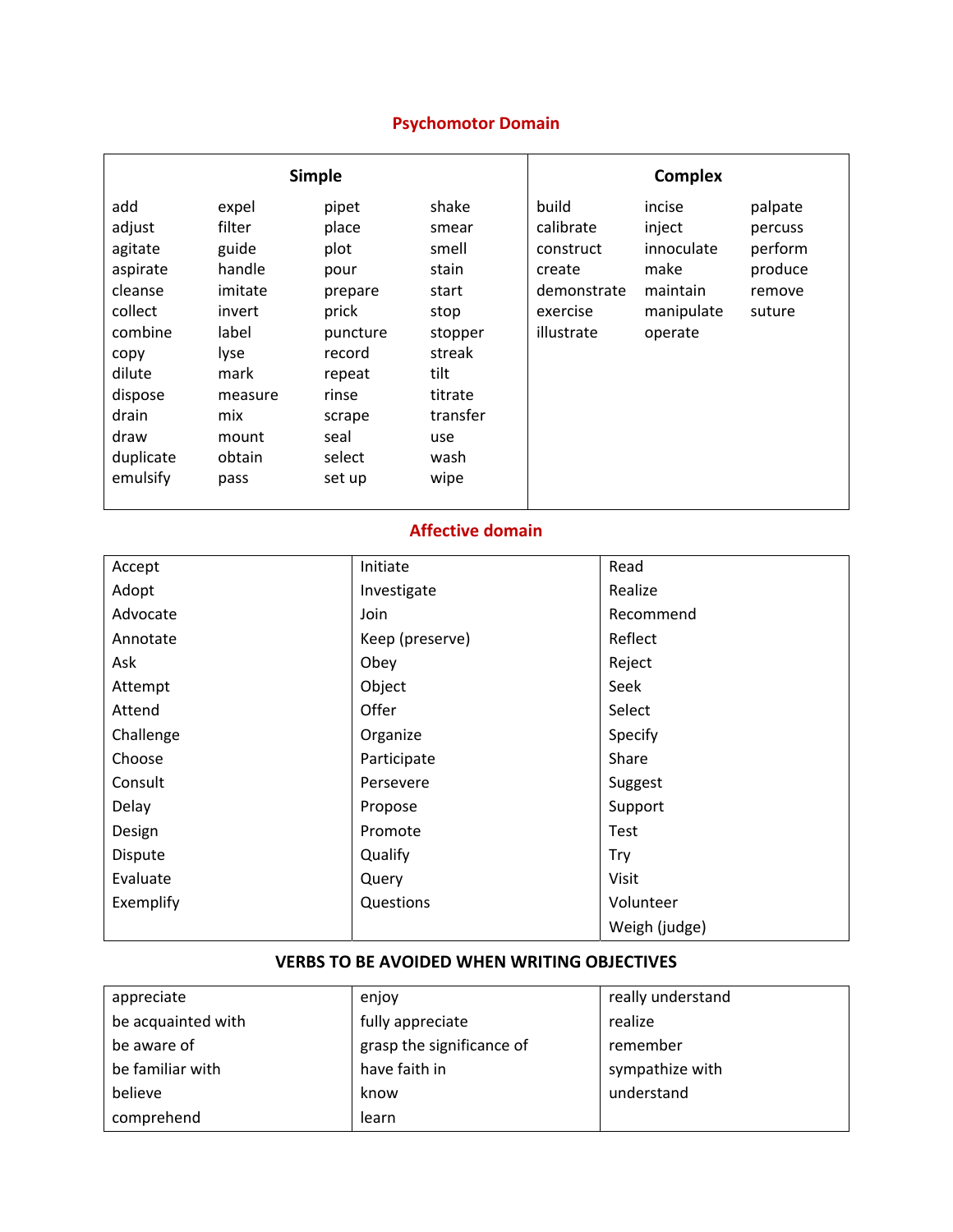# **Psychomotor Domain**

| <b>Simple</b>                                                                                                                                |                                                                                                                               |                                                                                                                                   |                                                                                                                              | <b>Complex</b>                                                                     |                                                                             |                                                              |
|----------------------------------------------------------------------------------------------------------------------------------------------|-------------------------------------------------------------------------------------------------------------------------------|-----------------------------------------------------------------------------------------------------------------------------------|------------------------------------------------------------------------------------------------------------------------------|------------------------------------------------------------------------------------|-----------------------------------------------------------------------------|--------------------------------------------------------------|
| add<br>adjust<br>agitate<br>aspirate<br>cleanse<br>collect<br>combine<br>copy<br>dilute<br>dispose<br>drain<br>draw<br>duplicate<br>emulsify | expel<br>filter<br>guide<br>handle<br>imitate<br>invert<br>label<br>lyse<br>mark<br>measure<br>mix<br>mount<br>obtain<br>pass | pipet<br>place<br>plot<br>pour<br>prepare<br>prick<br>puncture<br>record<br>repeat<br>rinse<br>scrape<br>seal<br>select<br>set up | shake<br>smear<br>smell<br>stain<br>start<br>stop<br>stopper<br>streak<br>tilt<br>titrate<br>transfer<br>use<br>wash<br>wipe | build<br>calibrate<br>construct<br>create<br>demonstrate<br>exercise<br>illustrate | incise<br>inject<br>innoculate<br>make<br>maintain<br>manipulate<br>operate | palpate<br>percuss<br>perform<br>produce<br>remove<br>suture |

#### **Affective domain**

| Accept    | Initiate        | Read          |
|-----------|-----------------|---------------|
| Adopt     | Investigate     | Realize       |
| Advocate  | Join            | Recommend     |
| Annotate  | Keep (preserve) | Reflect       |
| Ask       | Obey            | Reject        |
| Attempt   | Object          | Seek          |
| Attend    | Offer           | Select        |
| Challenge | Organize        | Specify       |
| Choose    | Participate     | Share         |
| Consult   | Persevere       | Suggest       |
| Delay     | Propose         | Support       |
| Design    | Promote         | Test          |
| Dispute   | Qualify         | Try           |
| Evaluate  | Query           | Visit         |
| Exemplify | Questions       | Volunteer     |
|           |                 | Weigh (judge) |

### **VERBS TO BE AVOIDED WHEN WRITING OBJECTIVES**

| appreciate         | enjoy                     | really understand |
|--------------------|---------------------------|-------------------|
| be acquainted with | fully appreciate          | realize           |
| be aware of        | grasp the significance of | remember          |
| be familiar with   | have faith in             | sympathize with   |
| believe            | know                      | understand        |
| comprehend         | learn                     |                   |